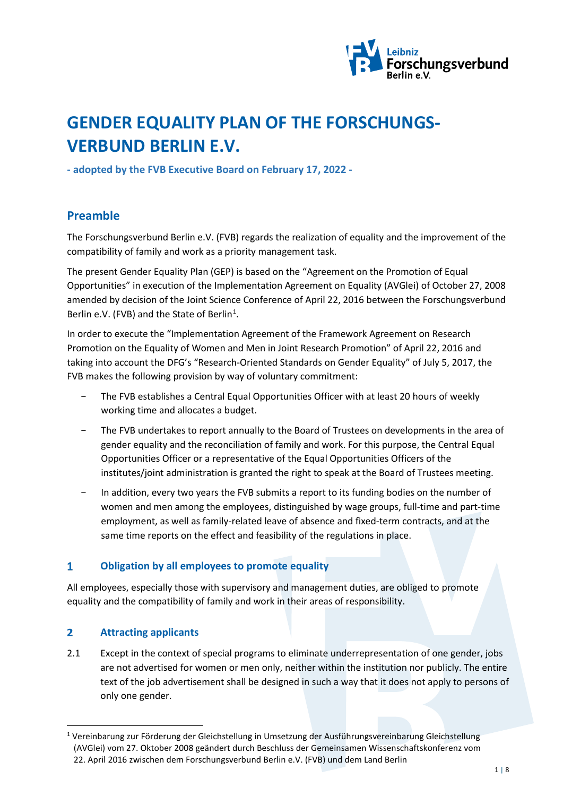

# **GENDER EQUALITY PLAN OF THE FORSCHUNGS-VERBUND BERLIN E.V.**

**- adopted by the FVB Executive Board on February 17, 2022 -**

## **Preamble**

The Forschungsverbund Berlin e.V. (FVB) regards the realization of equality and the improvement of the compatibility of family and work as a priority management task.

The present Gender Equality Plan (GEP) is based on the "Agreement on the Promotion of Equal Opportunities" in execution of the Implementation Agreement on Equality (AVGlei) of October 27, 2008 amended by decision of the Joint Science Conference of April 22, 2016 between the Forschungsverbund Berlin e.V. (FVB) and the State of Berlin<sup>[1](#page-0-0)</sup>.

In order to execute the "Implementation Agreement of the Framework Agreement on Research Promotion on the Equality of Women and Men in Joint Research Promotion" of April 22, 2016 and taking into account the DFG's "Research-Oriented Standards on Gender Equality" of July 5, 2017, the FVB makes the following provision by way of voluntary commitment:

- The FVB establishes a Central Equal Opportunities Officer with at least 20 hours of weekly working time and allocates a budget.
- The FVB undertakes to report annually to the Board of Trustees on developments in the area of gender equality and the reconciliation of family and work. For this purpose, the Central Equal Opportunities Officer or a representative of the Equal Opportunities Officers of the institutes/joint administration is granted the right to speak at the Board of Trustees meeting.
- In addition, every two years the FVB submits a report to its funding bodies on the number of women and men among the employees, distinguished by wage groups, full-time and part-time employment, as well as family-related leave of absence and fixed-term contracts, and at the same time reports on the effect and feasibility of the regulations in place.

#### $\mathbf{1}$ **Obligation by all employees to promote equality**

All employees, especially those with supervisory and management duties, are obliged to promote equality and the compatibility of family and work in their areas of responsibility.

#### **Attracting applicants**  $\overline{2}$

2.1 Except in the context of special programs to eliminate underrepresentation of one gender, jobs are not advertised for women or men only, neither within the institution nor publicly. The entire text of the job advertisement shall be designed in such a way that it does not apply to persons of only one gender.

<span id="page-0-0"></span> <sup>1</sup> Vereinbarung zur Förderung der Gleichstellung in Umsetzung der Ausführungsvereinbarung Gleichstellung (AVGlei) vom 27. Oktober 2008 geändert durch Beschluss der Gemeinsamen Wissenschaftskonferenz vom 22. April 2016 zwischen dem Forschungsverbund Berlin e.V. (FVB) und dem Land Berlin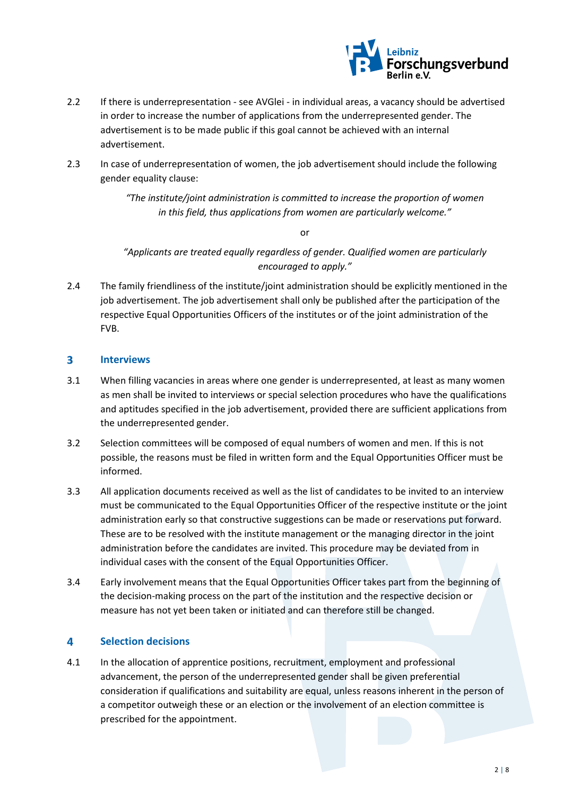

- 2.2 If there is underrepresentation see AVGlei in individual areas, a vacancy should be advertised in order to increase the number of applications from the underrepresented gender. The advertisement is to be made public if this goal cannot be achieved with an internal advertisement.
- 2.3 In case of underrepresentation of women, the job advertisement should include the following gender equality clause:

*"The institute/joint administration is committed to increase the proportion of women in this field, thus applications from women are particularly welcome."*

or

*"Applicants are treated equally regardless of gender. Qualified women are particularly encouraged to apply."*

2.4 The family friendliness of the institute/joint administration should be explicitly mentioned in the job advertisement. The job advertisement shall only be published after the participation of the respective Equal Opportunities Officers of the institutes or of the joint administration of the FVB.

#### $\overline{\mathbf{3}}$ **Interviews**

- 3.1 When filling vacancies in areas where one gender is underrepresented, at least as many women as men shall be invited to interviews or special selection procedures who have the qualifications and aptitudes specified in the job advertisement, provided there are sufficient applications from the underrepresented gender.
- 3.2 Selection committees will be composed of equal numbers of women and men. If this is not possible, the reasons must be filed in written form and the Equal Opportunities Officer must be informed.
- 3.3 All application documents received as well as the list of candidates to be invited to an interview must be communicated to the Equal Opportunities Officer of the respective institute or the joint administration early so that constructive suggestions can be made or reservations put forward. These are to be resolved with the institute management or the managing director in the joint administration before the candidates are invited. This procedure may be deviated from in individual cases with the consent of the Equal Opportunities Officer.
- 3.4 Early involvement means that the Equal Opportunities Officer takes part from the beginning of the decision-making process on the part of the institution and the respective decision or measure has not yet been taken or initiated and can therefore still be changed.

#### **Selection decisions** 4

4.1 In the allocation of apprentice positions, recruitment, employment and professional advancement, the person of the underrepresented gender shall be given preferential consideration if qualifications and suitability are equal, unless reasons inherent in the person of a competitor outweigh these or an election or the involvement of an election committee is prescribed for the appointment.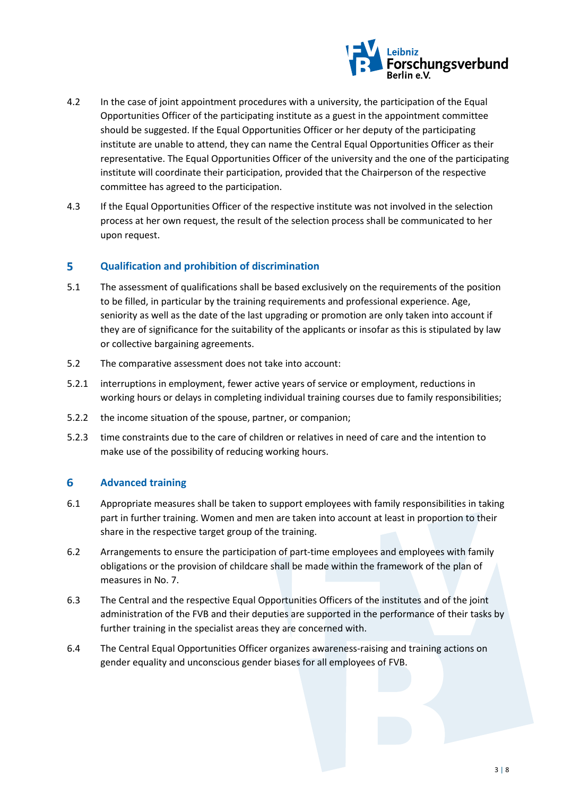

- 4.2 In the case of joint appointment procedures with a university, the participation of the Equal Opportunities Officer of the participating institute as a guest in the appointment committee should be suggested. If the Equal Opportunities Officer or her deputy of the participating institute are unable to attend, they can name the Central Equal Opportunities Officer as their representative. The Equal Opportunities Officer of the university and the one of the participating institute will coordinate their participation, provided that the Chairperson of the respective committee has agreed to the participation.
- 4.3 If the Equal Opportunities Officer of the respective institute was not involved in the selection process at her own request, the result of the selection process shall be communicated to her upon request.

#### $\overline{\mathbf{5}}$ **Qualification and prohibition of discrimination**

- 5.1 The assessment of qualifications shall be based exclusively on the requirements of the position to be filled, in particular by the training requirements and professional experience. Age, seniority as well as the date of the last upgrading or promotion are only taken into account if they are of significance for the suitability of the applicants or insofar as this is stipulated by law or collective bargaining agreements.
- 5.2 The comparative assessment does not take into account:
- 5.2.1 interruptions in employment, fewer active years of service or employment, reductions in working hours or delays in completing individual training courses due to family responsibilities;
- 5.2.2 the income situation of the spouse, partner, or companion;
- 5.2.3 time constraints due to the care of children or relatives in need of care and the intention to make use of the possibility of reducing working hours.

#### 6 **Advanced training**

- 6.1 Appropriate measures shall be taken to support employees with family responsibilities in taking part in further training. Women and men are taken into account at least in proportion to their share in the respective target group of the training.
- 6.2 Arrangements to ensure the participation of part-time employees and employees with family obligations or the provision of childcare shall be made within the framework of the plan of measures in No. 7.
- 6.3 The Central and the respective Equal Opportunities Officers of the institutes and of the joint administration of the FVB and their deputies are supported in the performance of their tasks by further training in the specialist areas they are concerned with.
- 6.4 The Central Equal Opportunities Officer organizes awareness-raising and training actions on gender equality and unconscious gender biases for all employees of FVB.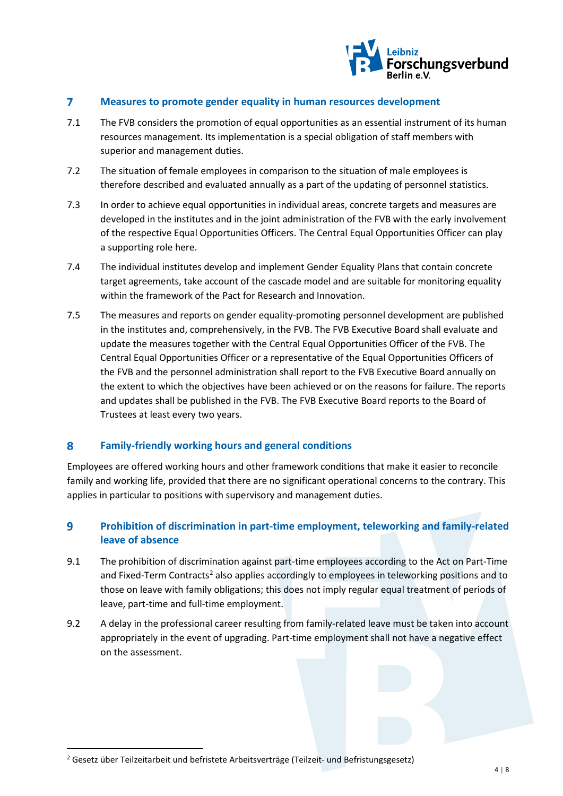

#### $\overline{7}$ **Measures to promote gender equality in human resources development**

- 7.1 The FVB considers the promotion of equal opportunities as an essential instrument of its human resources management. Its implementation is a special obligation of staff members with superior and management duties.
- 7.2 The situation of female employees in comparison to the situation of male employees is therefore described and evaluated annually as a part of the updating of personnel statistics.
- 7.3 In order to achieve equal opportunities in individual areas, concrete targets and measures are developed in the institutes and in the joint administration of the FVB with the early involvement of the respective Equal Opportunities Officers. The Central Equal Opportunities Officer can play a supporting role here.
- 7.4 The individual institutes develop and implement Gender Equality Plans that contain concrete target agreements, take account of the cascade model and are suitable for monitoring equality within the framework of the Pact for Research and Innovation.
- 7.5 The measures and reports on gender equality-promoting personnel development are published in the institutes and, comprehensively, in the FVB. The FVB Executive Board shall evaluate and update the measures together with the Central Equal Opportunities Officer of the FVB. The Central Equal Opportunities Officer or a representative of the Equal Opportunities Officers of the FVB and the personnel administration shall report to the FVB Executive Board annually on the extent to which the objectives have been achieved or on the reasons for failure. The reports and updates shall be published in the FVB. The FVB Executive Board reports to the Board of Trustees at least every two years.

#### 8 **Family-friendly working hours and general conditions**

Employees are offered working hours and other framework conditions that make it easier to reconcile family and working life, provided that there are no significant operational concerns to the contrary. This applies in particular to positions with supervisory and management duties.

### $\overline{9}$ **Prohibition of discrimination in part-time employment, teleworking and family-related leave of absence**

- 9.1 The prohibition of discrimination against part-time employees according to the Act on Part-Time and Fixed-Term Contracts<sup>[2](#page-3-0)</sup> also applies accordingly to employees in teleworking positions and to those on leave with family obligations; this does not imply regular equal treatment of periods of leave, part-time and full-time employment.
- 9.2 A delay in the professional career resulting from family-related leave must be taken into account appropriately in the event of upgrading. Part-time employment shall not have a negative effect on the assessment.

<span id="page-3-0"></span><sup>&</sup>lt;sup>2</sup> Gesetz über Teilzeitarbeit und befristete Arbeitsverträge (Teilzeit- und Befristungsgesetz)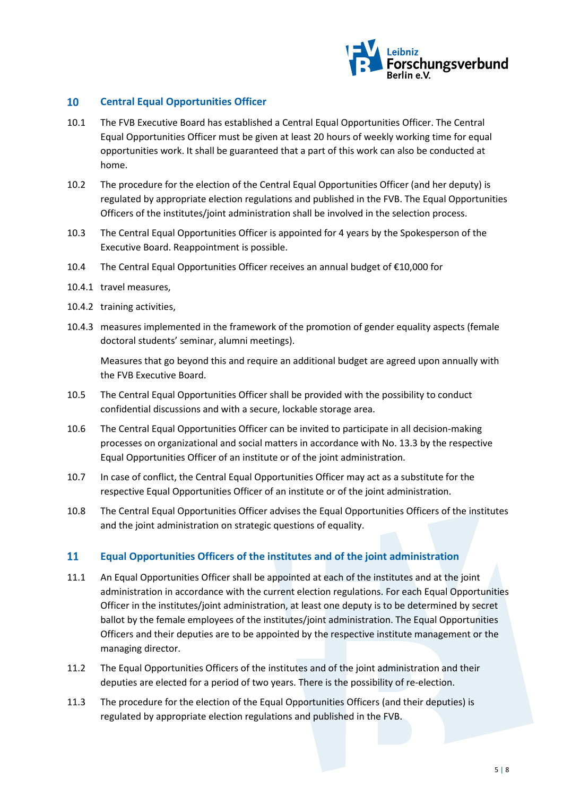

#### $10<sup>°</sup>$ **Central Equal Opportunities Officer**

- 10.1 The FVB Executive Board has established a Central Equal Opportunities Officer. The Central Equal Opportunities Officer must be given at least 20 hours of weekly working time for equal opportunities work. It shall be guaranteed that a part of this work can also be conducted at home.
- 10.2 The procedure for the election of the Central Equal Opportunities Officer (and her deputy) is regulated by appropriate election regulations and published in the FVB. The Equal Opportunities Officers of the institutes/joint administration shall be involved in the selection process.
- 10.3 The Central Equal Opportunities Officer is appointed for 4 years by the Spokesperson of the Executive Board. Reappointment is possible.
- 10.4 The Central Equal Opportunities Officer receives an annual budget of €10,000 for
- 10.4.1 travel measures,
- 10.4.2 training activities,
- 10.4.3 measures implemented in the framework of the promotion of gender equality aspects (female doctoral students' seminar, alumni meetings).

Measures that go beyond this and require an additional budget are agreed upon annually with the FVB Executive Board.

- 10.5 The Central Equal Opportunities Officer shall be provided with the possibility to conduct confidential discussions and with a secure, lockable storage area.
- 10.6 The Central Equal Opportunities Officer can be invited to participate in all decision-making processes on organizational and social matters in accordance with No. 13.3 by the respective Equal Opportunities Officer of an institute or of the joint administration.
- 10.7 In case of conflict, the Central Equal Opportunities Officer may act as a substitute for the respective Equal Opportunities Officer of an institute or of the joint administration.
- 10.8 The Central Equal Opportunities Officer advises the Equal Opportunities Officers of the institutes and the joint administration on strategic questions of equality.

#### 11 **Equal Opportunities Officers of the institutes and of the joint administration**

- 11.1 An Equal Opportunities Officer shall be appointed at each of the institutes and at the joint administration in accordance with the current election regulations. For each Equal Opportunities Officer in the institutes/joint administration, at least one deputy is to be determined by secret ballot by the female employees of the institutes/joint administration. The Equal Opportunities Officers and their deputies are to be appointed by the respective institute management or the managing director.
- 11.2 The Equal Opportunities Officers of the institutes and of the joint administration and their deputies are elected for a period of two years. There is the possibility of re-election.
- 11.3 The procedure for the election of the Equal Opportunities Officers (and their deputies) is regulated by appropriate election regulations and published in the FVB.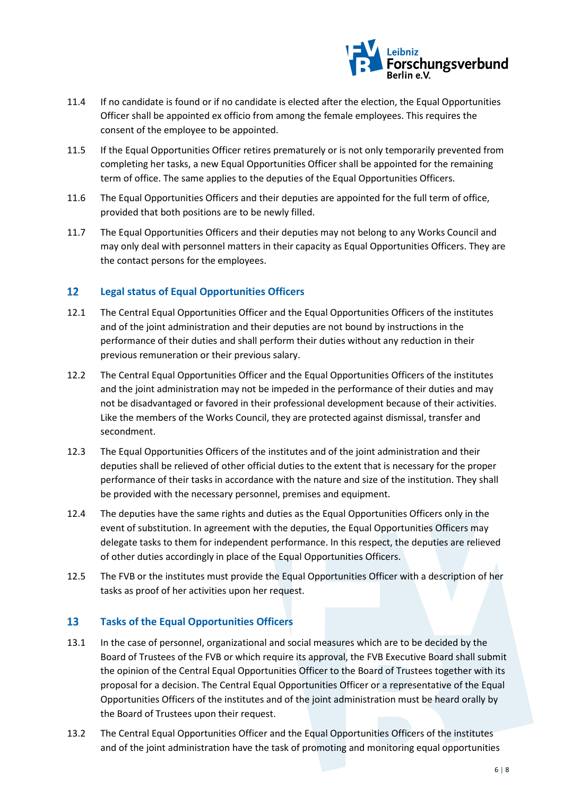

- 11.4 If no candidate is found or if no candidate is elected after the election, the Equal Opportunities Officer shall be appointed ex officio from among the female employees. This requires the consent of the employee to be appointed.
- 11.5 If the Equal Opportunities Officer retires prematurely or is not only temporarily prevented from completing her tasks, a new Equal Opportunities Officer shall be appointed for the remaining term of office. The same applies to the deputies of the Equal Opportunities Officers.
- 11.6 The Equal Opportunities Officers and their deputies are appointed for the full term of office, provided that both positions are to be newly filled.
- 11.7 The Equal Opportunities Officers and their deputies may not belong to any Works Council and may only deal with personnel matters in their capacity as Equal Opportunities Officers. They are the contact persons for the employees.

#### $12<sup>2</sup>$ **Legal status of Equal Opportunities Officers**

- 12.1 The Central Equal Opportunities Officer and the Equal Opportunities Officers of the institutes and of the joint administration and their deputies are not bound by instructions in the performance of their duties and shall perform their duties without any reduction in their previous remuneration or their previous salary.
- 12.2 The Central Equal Opportunities Officer and the Equal Opportunities Officers of the institutes and the joint administration may not be impeded in the performance of their duties and may not be disadvantaged or favored in their professional development because of their activities. Like the members of the Works Council, they are protected against dismissal, transfer and secondment.
- 12.3 The Equal Opportunities Officers of the institutes and of the joint administration and their deputies shall be relieved of other official duties to the extent that is necessary for the proper performance of their tasks in accordance with the nature and size of the institution. They shall be provided with the necessary personnel, premises and equipment.
- 12.4 The deputies have the same rights and duties as the Equal Opportunities Officers only in the event of substitution. In agreement with the deputies, the Equal Opportunities Officers may delegate tasks to them for independent performance. In this respect, the deputies are relieved of other duties accordingly in place of the Equal Opportunities Officers.
- 12.5 The FVB or the institutes must provide the Equal Opportunities Officer with a description of her tasks as proof of her activities upon her request.

#### $13<sup>7</sup>$ **Tasks of the Equal Opportunities Officers**

- 13.1 In the case of personnel, organizational and social measures which are to be decided by the Board of Trustees of the FVB or which require its approval, the FVB Executive Board shall submit the opinion of the Central Equal Opportunities Officer to the Board of Trustees together with its proposal for a decision. The Central Equal Opportunities Officer or a representative of the Equal Opportunities Officers of the institutes and of the joint administration must be heard orally by the Board of Trustees upon their request.
- 13.2 The Central Equal Opportunities Officer and the Equal Opportunities Officers of the institutes and of the joint administration have the task of promoting and monitoring equal opportunities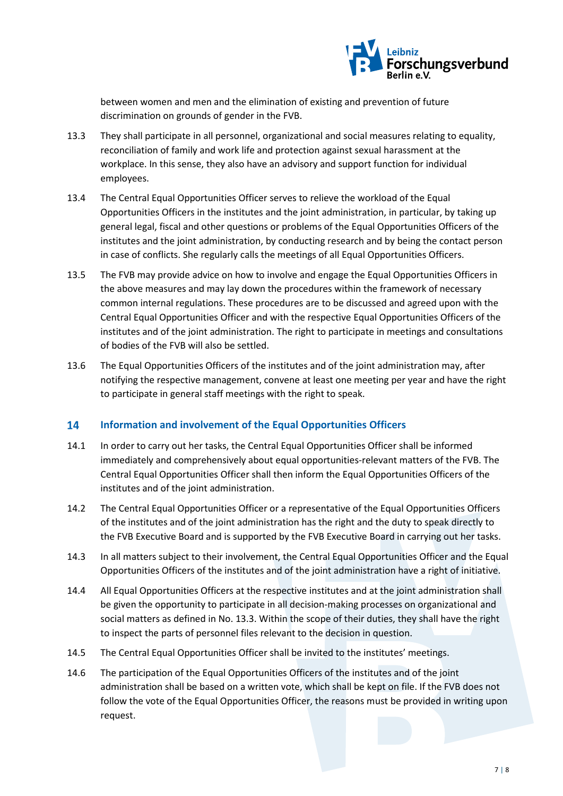

between women and men and the elimination of existing and prevention of future discrimination on grounds of gender in the FVB.

- 13.3 They shall participate in all personnel, organizational and social measures relating to equality, reconciliation of family and work life and protection against sexual harassment at the workplace. In this sense, they also have an advisory and support function for individual employees.
- 13.4 The Central Equal Opportunities Officer serves to relieve the workload of the Equal Opportunities Officers in the institutes and the joint administration, in particular, by taking up general legal, fiscal and other questions or problems of the Equal Opportunities Officers of the institutes and the joint administration, by conducting research and by being the contact person in case of conflicts. She regularly calls the meetings of all Equal Opportunities Officers.
- 13.5 The FVB may provide advice on how to involve and engage the Equal Opportunities Officers in the above measures and may lay down the procedures within the framework of necessary common internal regulations. These procedures are to be discussed and agreed upon with the Central Equal Opportunities Officer and with the respective Equal Opportunities Officers of the institutes and of the joint administration. The right to participate in meetings and consultations of bodies of the FVB will also be settled.
- 13.6 The Equal Opportunities Officers of the institutes and of the joint administration may, after notifying the respective management, convene at least one meeting per year and have the right to participate in general staff meetings with the right to speak.

#### 14 **Information and involvement of the Equal Opportunities Officers**

- 14.1 In order to carry out her tasks, the Central Equal Opportunities Officer shall be informed immediately and comprehensively about equal opportunities-relevant matters of the FVB. The Central Equal Opportunities Officer shall then inform the Equal Opportunities Officers of the institutes and of the joint administration.
- 14.2 The Central Equal Opportunities Officer or a representative of the Equal Opportunities Officers of the institutes and of the joint administration has the right and the duty to speak directly to the FVB Executive Board and is supported by the FVB Executive Board in carrying out her tasks.
- 14.3 In all matters subject to their involvement, the Central Equal Opportunities Officer and the Equal Opportunities Officers of the institutes and of the joint administration have a right of initiative.
- 14.4 All Equal Opportunities Officers at the respective institutes and at the joint administration shall be given the opportunity to participate in all decision-making processes on organizational and social matters as defined in No. 13.3. Within the scope of their duties, they shall have the right to inspect the parts of personnel files relevant to the decision in question.
- 14.5 The Central Equal Opportunities Officer shall be invited to the institutes' meetings.
- 14.6 The participation of the Equal Opportunities Officers of the institutes and of the joint administration shall be based on a written vote, which shall be kept on file. If the FVB does not follow the vote of the Equal Opportunities Officer, the reasons must be provided in writing upon request.